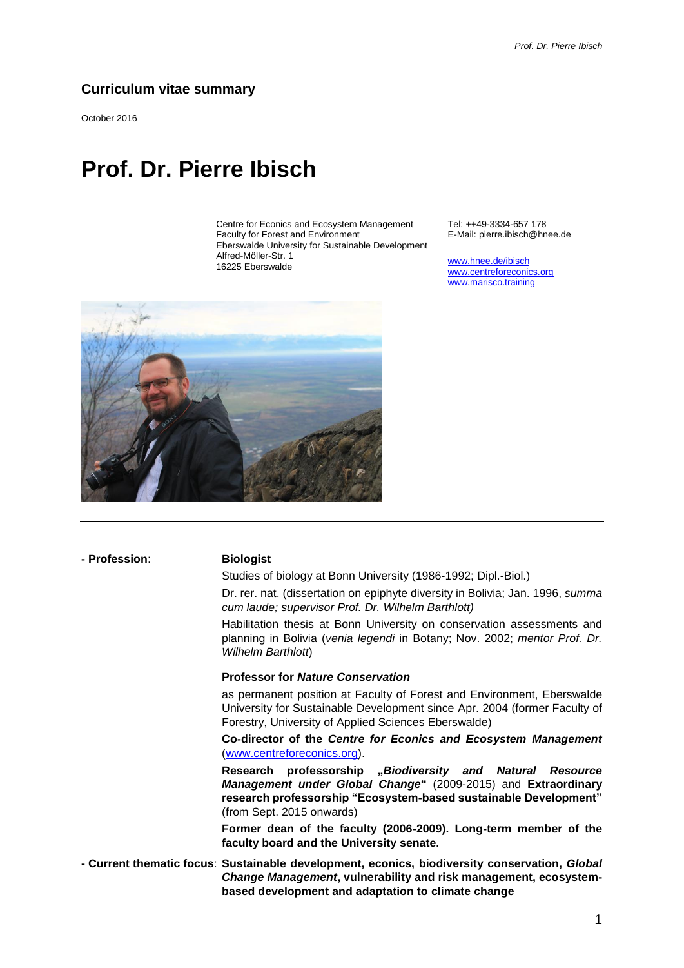## **Curriculum vitae summary**

October 2016

# **Prof. Dr. Pierre Ibisch**

Centre for Econics and Ecosystem Management Faculty for Forest and Environment Eberswalde University for Sustainable Development Alfred-Möller-Str. 1 16225 Eberswalde

Tel: ++49-3334-657 178 E-Mail: pierre.ibisch@hnee.de

[www.hnee.de/ibisch](http://www.hnee.de/ibisch) [www.centreforeconics.org](http://www.centreforeconics.org/) [www.marisco.training](http://www.marisco.training/)



**- Profession**: **Biologist**

Studies of biology at Bonn University (1986-1992; Dipl.-Biol.)

Dr. rer. nat. (dissertation on epiphyte diversity in Bolivia; Jan. 1996, *summa cum laude; supervisor Prof. Dr. Wilhelm Barthlott)*

Habilitation thesis at Bonn University on conservation assessments and planning in Bolivia (*venia legendi* in Botany; Nov. 2002; *mentor Prof. Dr. Wilhelm Barthlott*)

### **Professor for** *Nature Conservation*

as permanent position at Faculty of Forest and Environment, Eberswalde University for Sustainable Development since Apr. 2004 (former Faculty of Forestry, University of Applied Sciences Eberswalde)

**Co-director of the** *Centre for Econics and Ecosystem Management* [\(www.centreforeconics.org\)](http://www.centreforeconics.org/).

**Research professorship "***Biodiversity and Natural Resource Management under Global Change***"** (2009-2015) and **Extraordinary research professorship "Ecosystem-based sustainable Development"**  (from Sept. 2015 onwards)

**Former dean of the faculty (2006-2009). Long-term member of the faculty board and the University senate.**

**- Current thematic focus**: **Sustainable development, econics, biodiversity conservation,** *Global Change Management***, vulnerability and risk management, ecosystembased development and adaptation to climate change**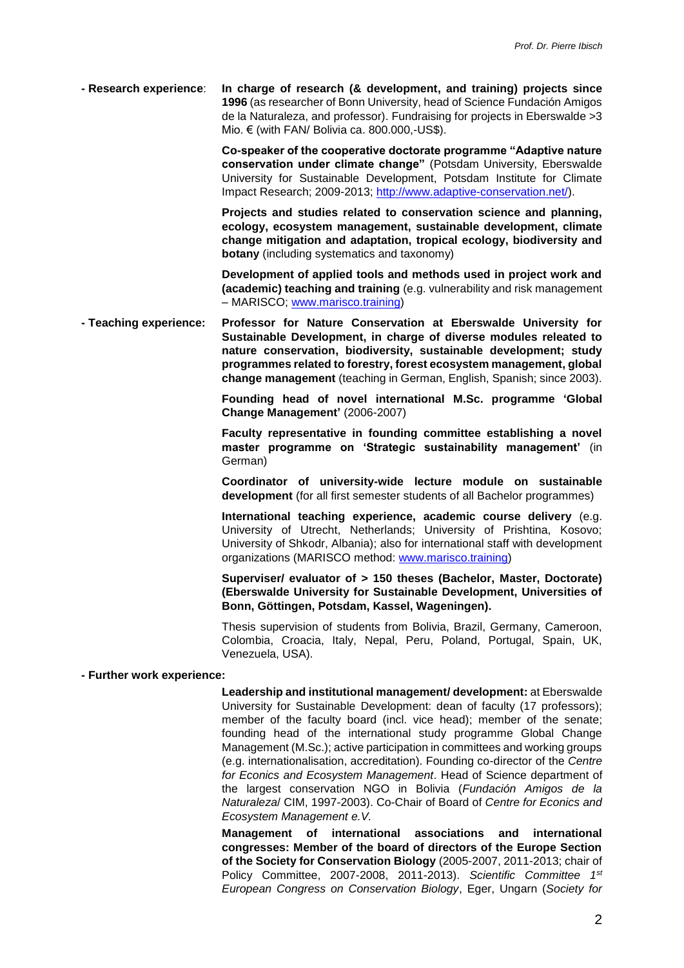**- Research experience**: **In charge of research (& development, and training) projects since 1996** (as researcher of Bonn University, head of Science Fundación Amigos de la Naturaleza, and professor). Fundraising for projects in Eberswalde >3 Mio. € (with FAN/ Bolivia ca. 800.000,-US\$).

> **Co-speaker of the cooperative doctorate programme "Adaptive nature conservation under climate change"** (Potsdam University, Eberswalde University for Sustainable Development, Potsdam Institute for Climate Impact Research; 2009-2013; [http://www.adaptive-conservation.net/\)](http://www.adaptive-conservation.net/).

> **Projects and studies related to conservation science and planning, ecology, ecosystem management, sustainable development, climate change mitigation and adaptation, tropical ecology, biodiversity and botany** (including systematics and taxonomy)

> **Development of applied tools and methods used in project work and (academic) teaching and training** (e.g. vulnerability and risk management – MARISCO; [www.marisco.training\)](http://www.marisco.training/)

**- Teaching experience: Professor for Nature Conservation at Eberswalde University for Sustainable Development, in charge of diverse modules releated to nature conservation, biodiversity, sustainable development; study programmes related to forestry, forest ecosystem management, global change management** (teaching in German, English, Spanish; since 2003).

> **Founding head of novel international M.Sc. programme 'Global Change Management'** (2006-2007)

> **Faculty representative in founding committee establishing a novel master programme on 'Strategic sustainability management'** (in German)

> **Coordinator of university-wide lecture module on sustainable development** (for all first semester students of all Bachelor programmes)

> **International teaching experience, academic course delivery** (e.g. University of Utrecht, Netherlands; University of Prishtina, Kosovo; University of Shkodr, Albania); also for international staff with development organizations (MARISCO method: [www.marisco.training\)](http://www.marisco.training/)

> **Superviser/ evaluator of > 150 theses (Bachelor, Master, Doctorate) (Eberswalde University for Sustainable Development, Universities of Bonn, Göttingen, Potsdam, Kassel, Wageningen).**

> Thesis supervision of students from Bolivia, Brazil, Germany, Cameroon, Colombia, Croacia, Italy, Nepal, Peru, Poland, Portugal, Spain, UK, Venezuela, USA).

### **- Further work experience:**

**Leadership and institutional management/ development:** at Eberswalde University for Sustainable Development: dean of faculty (17 professors); member of the faculty board (incl. vice head); member of the senate; founding head of the international study programme Global Change Management (M.Sc.); active participation in committees and working groups (e.g. internationalisation, accreditation). Founding co-director of the *Centre for Econics and Ecosystem Management*. Head of Science department of the largest conservation NGO in Bolivia (*Fundación Amigos de la Naturaleza*/ CIM, 1997-2003). Co-Chair of Board of *Centre for Econics and Ecosystem Management e.V.*

**Management of international associations and international congresses: Member of the board of directors of the Europe Section of the Society for Conservation Biology** (2005-2007, 2011-2013; chair of Policy Committee, 2007-2008, 2011-2013). *Scientific Committee 1st European Congress on Conservation Biology*, Eger, Ungarn (*Society for*